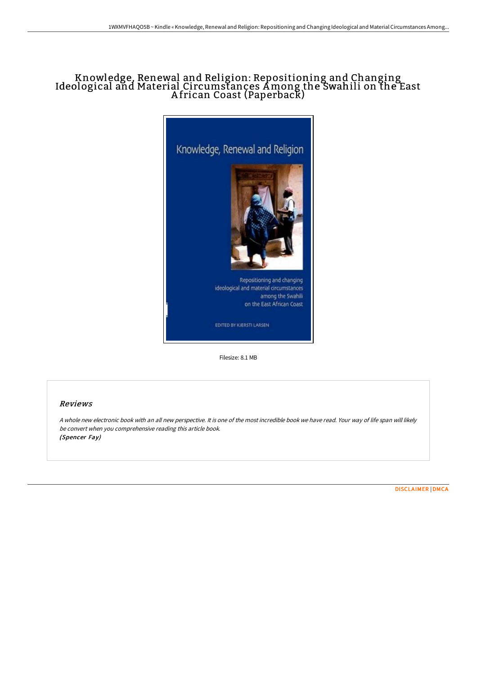# Knowledge, Renewal and Religion: Repositioning and Changing Ideological and Material Circumstances Among the Swahili on the East A frican Coast (Paperback)



Filesize: 8.1 MB

## Reviews

A whole new electronic book with an all new perspective. It is one of the most incredible book we have read. Your way of life span will likely be convert when you comprehensive reading this article book. (Spencer Fay)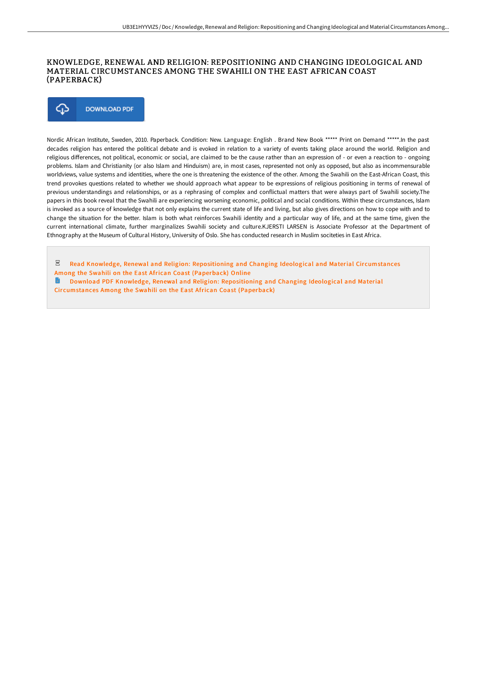## KNOWLEDGE, RENEWAL AND RELIGION: REPOSITIONING AND CHANGING IDEOLOGICAL AND MATERIAL CIRCUMSTANCES AMONG THE SWAHILI ON THE EAST AFRICAN COAST (PAPERBACK)



Nordic African Institute, Sweden, 2010. Paperback. Condition: New. Language: English . Brand New Book \*\*\*\*\* Print on Demand \*\*\*\*\*.In the past decades religion has entered the political debate and is evoked in relation to a variety of events taking place around the world. Religion and religious differences, not political, economic or social, are claimed to be the cause rather than an expression of - or even a reaction to - ongoing problems. Islam and Christianity (or also Islam and Hinduism) are, in most cases, represented not only as opposed, but also as incommensurable worldviews, value systems and identities, where the one is threatening the existence of the other. Among the Swahili on the East-African Coast, this trend provokes questions related to whether we should approach what appear to be expressions of religious positioning in terms of renewal of previous understandings and relationships, or as a rephrasing of complex and conflictual matters that were always part of Swahili society.The papers in this book reveal that the Swahili are experiencing worsening economic, political and social conditions. Within these circumstances, Islam is invoked as a source of knowledge that not only explains the current state of life and living, but also gives directions on how to cope with and to change the situation for the better. Islam is both what reinforces Swahili identity and a particular way of life, and at the same time, given the current international climate, further marginalizes Swahili society and culture.KJERSTI LARSEN is Associate Professor at the Department of Ethnography at the Museum of Cultural History, University of Oslo. She has conducted research in Muslim sociteties in East Africa.

- $_{\rm PDF}$ Read Knowledge, Renewal and Religion: [Repositioning](http://www.bookdirs.com/knowledge-renewal-and-religion-repositioning-and.html) and Changing Ideological and Material Circumstances Among the Swahili on the East African Coast (Paperback) Online
- **Download PDF Knowledge, Renewal and Religion: [Repositioning](http://www.bookdirs.com/knowledge-renewal-and-religion-repositioning-and.html) and Changing Ideological and Material** Cir cumstances Among the Swahili on the East African Coast (Paperback)